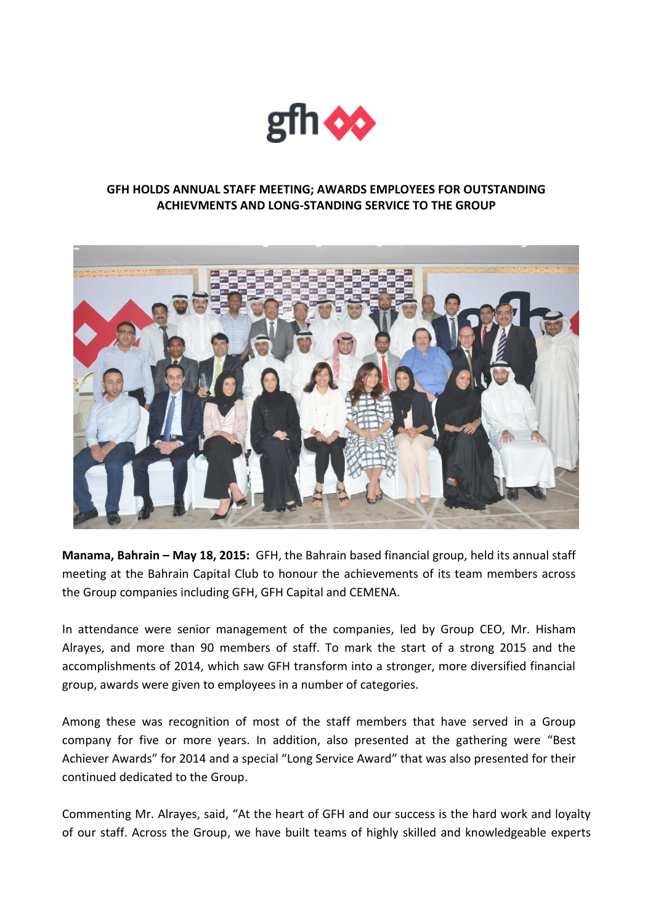

## **GFH HOLDS ANNUAL STAFF MEETING; AWARDS EMPLOYEES FOR OUTSTANDING ACHIEVMENTS AND LONG-STANDING SERVICE TO THE GROUP**



**Manama, Bahrain – May 18, 2015:** GFH, the Bahrain based financial group, held its annual staff meeting at the Bahrain Capital Club to honour the achievements of its team members across the Group companies including GFH, GFH Capital and CEMENA.

In attendance were senior management of the companies, led by Group CEO, Mr. Hisham Alrayes, and more than 90 members of staff. To mark the start of a strong 2015 and the accomplishments of 2014, which saw GFH transform into a stronger, more diversified financial group, awards were given to employees in a number of categories.

Among these was recognition of most of the staff members that have served in a Group company for five or more years. In addition, also presented at the gathering were "Best Achiever Awards" for 2014 and a special "Long Service Award" that was also presented for their continued dedicated to the Group.

Commenting Mr. Alrayes, said, "At the heart of GFH and our success is the hard work and loyalty of our staff. Across the Group, we have built teams of highly skilled and knowledgeable experts